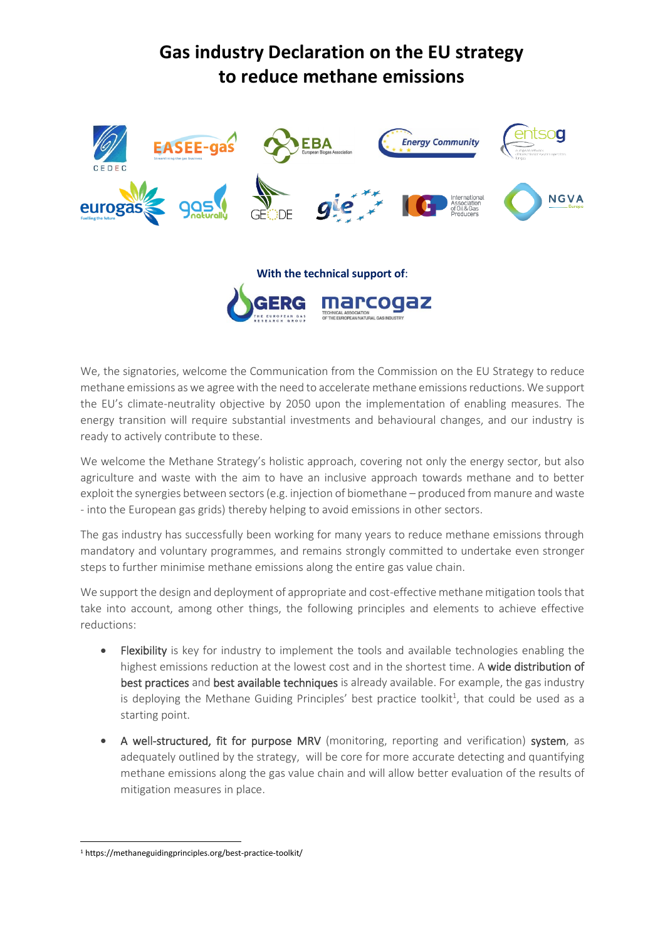## **Gas industry Declaration on the EU strategy to reduce methane emissions**



We, the signatories, welcome the Communication from the Commission on the EU Strategy to reduce methane emissions as we agree with the need to accelerate methane emissions reductions. We support the EU's climate-neutrality objective by 2050 upon the implementation of enabling measures. The energy transition will require substantial investments and behavioural changes, and our industry is ready to actively contribute to these.

We welcome the Methane Strategy's holistic approach, covering not only the energy sector, but also agriculture and waste with the aim to have an inclusive approach towards methane and to better exploit the synergies between sectors (e.g. injection of biomethane – produced from manure and waste - into the European gas grids) thereby helping to avoid emissions in other sectors.

The gas industry has successfully been working for many years to reduce methane emissions through mandatory and voluntary programmes, and remains strongly committed to undertake even stronger steps to further minimise methane emissions along the entire gas value chain.

We support the design and deployment of appropriate and cost-effective methane mitigation tools that take into account, among other things, the following principles and elements to achieve effective reductions:

- Flexibility is key for industry to implement the tools and available technologies enabling the highest emissions reduction at the lowest cost and in the shortest time. A wide distribution of best practices and best available techniques is already available. For example, the gas industry is deploying the Methane Guiding Principles' best practice toolkit<sup>1</sup>, that could be used as a starting point.
- A well-structured, fit for purpose MRV (monitoring, reporting and verification) system, as adequately outlined by the strategy, will be core for more accurate detecting and quantifying methane emissions along the gas value chain and will allow better evaluation of the results of mitigation measures in place.

<sup>1</sup> https://methaneguidingprinciples.org/best-practice-toolkit/